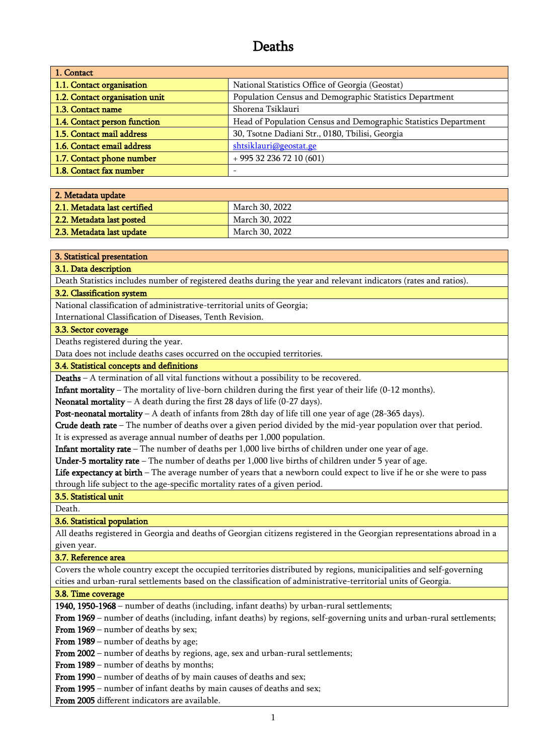# Deaths

| 1. Contact                     |                                                                 |
|--------------------------------|-----------------------------------------------------------------|
| 1.1. Contact organisation      | National Statistics Office of Georgia (Geostat)                 |
| 1.2. Contact organisation unit | Population Census and Demographic Statistics Department         |
| 1.3. Contact name              | Shorena Tsiklauri                                               |
| 1.4. Contact person function   | Head of Population Census and Demographic Statistics Department |
| 1.5. Contact mail address      | 30, Tsotne Dadiani Str., 0180, Tbilisi, Georgia                 |
| 1.6. Contact email address     | shtsiklauri@geostat.ge                                          |
| 1.7. Contact phone number      | $+995322367210(601)$                                            |
| 1.8. Contact fax number        |                                                                 |

| 2. Metadata update           |                |
|------------------------------|----------------|
| 2.1. Metadata last certified | March 30, 2022 |
| 2.2. Metadata last posted    | March 30, 2022 |
| 2.3. Metadata last update    | March 30, 2022 |

### 3. Statistical presentation

### 3.1. Data description

Death Statistics includes number of registered deaths during the year and relevant indicators (rates and ratios).

# 3.2. Classification system

National classification of administrative-territorial units of Georgia;

International Classification of Diseases, Tenth Revision.

## 3.3. Sector coverage

Deaths registered during the year.

Data does not include deaths cases occurred on the occupied territories.

### 3.4. Statistical concepts and definitions

Deaths – A termination of all vital functions without a possibility to be recovered.

Infant mortality – The mortality of live-born children during the first year of their life (0-12 months).

Neonatal mortality – A death during the first 28 days of life  $(0-27 \text{ days})$ .

**Post-neonatal mortality** – A death of infants from 28th day of life till one year of age  $(28-365 \text{ days})$ .

Crude death rate – The number of deaths over a given period divided by the mid-year population over that period.

It is expressed as average annual number of deaths per 1,000 population.

Infant mortality rate – The number of deaths per 1,000 live births of children under one year of age.

Under-5 mortality rate – The number of deaths per  $1,000$  live births of children under 5 year of age.

Life expectancy at birth – The average number of years that a newborn could expect to live if he or she were to pass through life subject to the age-specific mortality rates of a given period.

3.5. Statistical unit

Death.

# 3.6. Statistical population

All deaths registered in Georgia and deaths of Georgian citizens registered in the Georgian representations abroad in a given year.

# 3.7. Reference area

Covers the whole country except the occupied territories distributed by regions, municipalities and self-governing cities and urban-rural settlements based on the classification of administrative-territorial units of Georgia.

### 3.8. Time coverage

1940, 1950-1968 – number of deaths (including, infant deaths) by urban-rural settlements;

From 1969 – number of deaths (including, infant deaths) by regions, self-governing units and urban-rural settlements;

From 1969 – number of deaths by sex;

From 1989 – number of deaths by age;

From 2002 – number of deaths by regions, age, sex and urban-rural settlements;

From 1989 – number of deaths by months;

From 1990 – number of deaths of by main causes of deaths and sex;

From 1995 – number of infant deaths by main causes of deaths and sex;

From 2005 different indicators are available.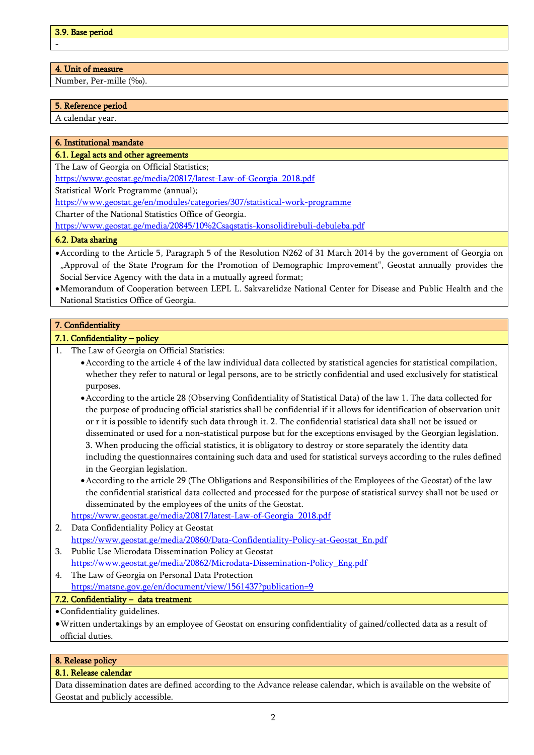- -

# 4. Unit of measure

Number, Per-mille (‰).

# 5. Reference period

A calendar year.

# 6. Institutional mandate

## 6.1. Legal acts and other agreements

The Law of Georgia on Official Statistics;

[https://www.geostat.ge/media/20817/latest-Law-of-Georgia\\_2018.pdf](https://www.geostat.ge/media/20817/latest-Law-of-Georgia_2018.pdf)

Statistical Work Programme (annual);

<https://www.geostat.ge/en/modules/categories/307/statistical-work-programme>

Charter of the National Statistics Office of Georgia.

https://www.geostat.ge/media/20845/10%2Csaqstatis-konsolidirebuli-debuleba.pdf

# 6.2. Data sharing

- •According to the Article 5, Paragraph 5 of the Resolution N262 of 31 March 2014 by the government of Georgia on "Approval of the State Program for the Promotion of Demographic Improvement", Geostat annually provides the Social Service Agency with the data in a mutually agreed format;
- •Memorandum of Cooperation between LEPL L. Sakvarelidze National Center for Disease and Public Health and the National Statistics Office of Georgia.

# 7. Confidentiality

# 7.1. Confidentiality – policy

- 1. The Law of Georgia on Official Statistics:
	- •According to the article 4 of the law individual data collected by statistical agencies for statistical compilation, whether they refer to natural or legal persons, are to be strictly confidential and used exclusively for statistical purposes.
	- •According to the article 28 (Observing Confidentiality of Statistical Data) of the law 1. The data collected for the purpose of producing official statistics shall be confidential if it allows for identification of observation unit or r it is possible to identify such data through it. 2. The confidential statistical data shall not be issued or disseminated or used for a non-statistical purpose but for the exceptions envisaged by the Georgian legislation. 3. When producing the official statistics, it is obligatory to destroy or store separately the identity data
	- including the questionnaires containing such data and used for statistical surveys according to the rules defined in the Georgian legislation.
	- •According to the article 29 (The Obligations and Responsibilities of the Employees of the Geostat) of the law the confidential statistical data collected and processed for the purpose of statistical survey shall not be used or disseminated by the employees of the units of the Geostat.

[https://www.geostat.ge/media/20817/latest-Law-of-Georgia\\_2018.pdf](https://www.geostat.ge/media/20817/latest-Law-of-Georgia_2018.pdf)

- 2. Data Confidentiality Policy at Geostat [https://www.geostat.ge/media/20860/Data-Confidentiality-Policy-at-Geostat\\_En.pdf](https://www.geostat.ge/media/20860/Data-Confidentiality-Policy-at-Geostat_En.pdf)
- 3. Public Use Microdata Dissemination Policy at Geostat [https://www.geostat.ge/media/20862/Microdata-Dissemination-Policy\\_Eng.pdf](https://www.geostat.ge/media/20862/Microdata-Dissemination-Policy_Eng.pdf)
- 4. The Law of Georgia on Personal Data Protection https://matsne.gov.ge/en/document/view/1561437?publication=9

# 7.2. Confidentiality – data treatment

•Confidentiality guidelines.

•Written undertakings by an employee of Geostat on ensuring confidentiality of gained/collected data as a result of official duties.

# 8. Release policy

# 8.1. Release calendar

Data dissemination dates are defined according to the Advance release calendar, which is available on the website of Geostat and publicly accessible.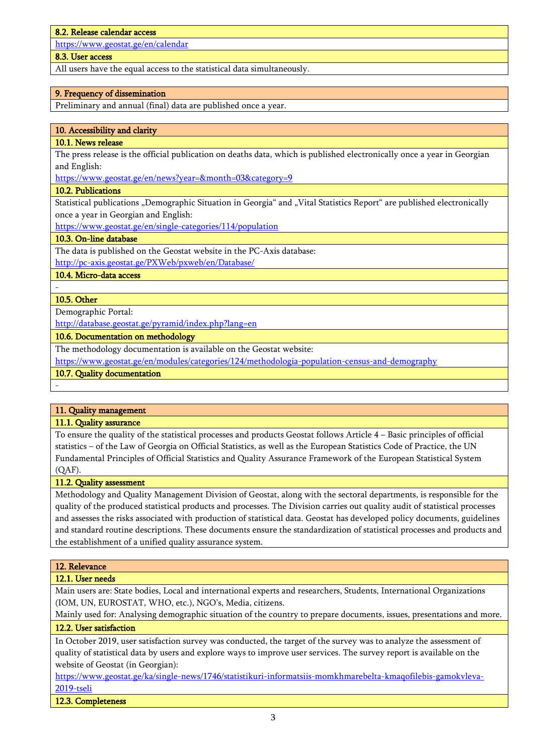#### 8.2. Release calendar access

<https://www.geostat.ge/en/calendar>

## 8.3. User access

All users have the equal access to the statistical data simultaneously.

### 9. Frequency of dissemination

Preliminary and annual (final) data are published once a year.

### 10. Accessibility and clarity

## 10.1. News release

The press release is the official publication on deaths data, which is published electronically once a year in Georgian and English:

<https://www.geostat.ge/en/news?year=&month=03&category=9>

### 10.2. Publications

Statistical publications "Demographic Situation in Georgia" and "Vital Statistics Report" are published electronically once a year in Georgian and English:

<https://www.geostat.ge/en/single-categories/114/population>

### 10.3. On-line database

The data is published on the Geostat website in the PC-Axis database: <http://pc-axis.geostat.ge/PXWeb/pxweb/en/Database/>

10.4. Micro-data access

### 10.5. Other

Demographic Portal:

http://database.geostat.ge/pyramid/index.php?lang=en

10.6. Documentation on methodology

The methodology documentation is available on the Geostat website:

<https://www.geostat.ge/en/modules/categories/124/methodologia-population-census-and-demography>

# 10.7. Quality documentation

-

-

# 11. Quality management

### 11.1. Quality assurance

To ensure the quality of the statistical processes and products Geostat follows Article 4 – Basic principles of official statistics – of the Law of Georgia on Official Statistics, as well as the European Statistics Code of Practice, the UN Fundamental Principles of Official Statistics and Quality Assurance Framework of the European Statistical System (QAF).

#### 11.2. Quality assessment

Methodology and Quality Management Division of Geostat, along with the sectoral departments, is responsible for the quality of the produced statistical products and processes. The Division carries out quality audit of statistical processes and assesses the risks associated with production of statistical data. Geostat has developed policy documents, guidelines and standard routine descriptions. These documents ensure the standardization of statistical processes and products and the establishment of a unified quality assurance system.

### 12. Relevance

### 12.1. User needs

Main users are: State bodies, Local and international experts and researchers, Students, International Organizations (IOM, UN, EUROSTAT, WHO, etc.), NGO's, Media, citizens.

Mainly used for: Analysing demographic situation of the country to prepare documents, issues, presentations and more. 12.2. User satisfaction

In October 2019, user satisfaction survey was conducted, the target of the survey was to analyze the assessment of quality of statistical data by users and explore ways to improve user services. The survey report is available on the website of Geostat (in Georgian):

[https://www.geostat.ge/ka/single-news/1746/statistikuri-informatsiis-momkhmarebelta-kmaqofilebis-gamokvleva-](https://www.geostat.ge/ka/single-news/1746/statistikuri-informatsiis-momkhmarebelta-kmaqofilebis-gamokvleva-2019-tseli)[2019-tseli](https://www.geostat.ge/ka/single-news/1746/statistikuri-informatsiis-momkhmarebelta-kmaqofilebis-gamokvleva-2019-tseli)

12.3. Completeness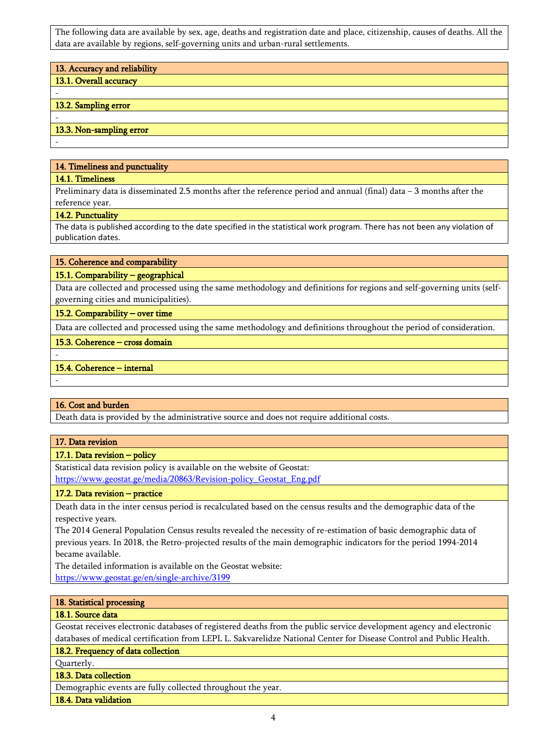The following data are available by sex, age, deaths and registration date and place, citizenship, causes of deaths. All the data are available by regions, self-governing units and urban-rural settlements.

| 13. Accuracy and reliability |
|------------------------------|
| 13.1. Overall accuracy       |
|                              |
| 13.2. Sampling error         |
| ۰                            |
| 13.3. Non-sampling error     |
| ۰                            |

#### 14. Timeliness and punctuality

#### 14.1. Timeliness

-

-

-

Preliminary data is disseminated 2.5 months after the reference period and annual (final) data – 3 months after the reference year.

#### 14.2. Punctuality

The data is published according to the date specified in the statistical work program. There has not been any violation of publication dates.

### 15. Coherence and comparability

### 15.1. Comparability – geographical

Data are collected and processed using the same methodology and definitions for regions and self-governing units (selfgoverning cities and municipalities).

15.2. Comparability – over time

Data are collected and processed using the same methodology and definitions throughout the period of consideration.

# 15.3. Coherence – cross domain

### 15.4. Coherence – internal

# 16. Cost and burden

Death data is provided by the administrative source and does not require additional costs.

### 17. Data revision

### 17.1. Data revision – policy

Statistical data revision policy is available on the website of Geostat: [https://www.geostat.ge/media/20863/Revision-policy\\_Geostat\\_Eng.pdf](https://www.geostat.ge/media/20863/Revision-policy_Geostat_Eng.pdf)

# 17.2. Data revision – practice

Death data in the inter census period is recalculated based on the census results and the demographic data of the respective years.

The 2014 General Population Census results revealed the necessity of re-estimation of basic demographic data of previous years. In 2018, the Retro-projected results of the main demographic indicators for the period 1994-2014 became available.

The detailed information is available on the Geostat website: <https://www.geostat.ge/en/single-archive/3199>

### 18. Statistical processing

### 18.1. Source data

Geostat receives electronic databases of registered deaths from the public service development agency and electronic databases of medical certification from LEPL L. Sakvarelidze National Center for Disease Control and Public Health.

# 18.2. Frequency of data collection

Quarterly.

### 18.3. Data collection

Demographic events are fully collected throughout the year.

18.4. Data validation